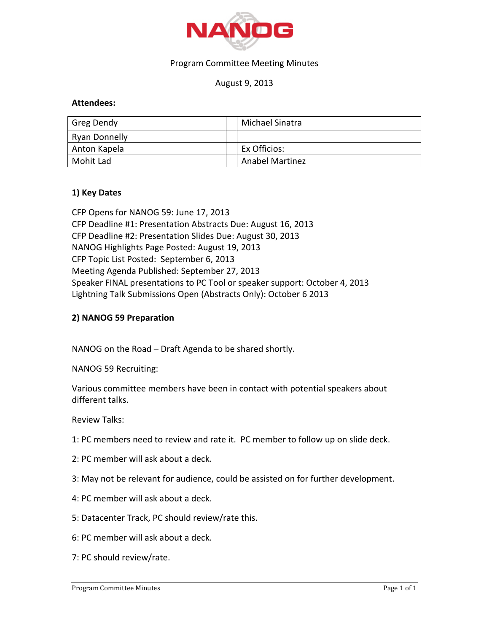

## Program Committee Meeting Minutes

# August 9, 2013

## **Attendees:**

| Greg Dendy    | Michael Sinatra        |
|---------------|------------------------|
| Ryan Donnelly |                        |
| Anton Kapela  | Ex Officios:           |
| Mohit Lad     | <b>Anabel Martinez</b> |

#### **1) Key Dates**

CFP Opens for NANOG 59: June 17, 2013 CFP Deadline #1: Presentation Abstracts Due: August 16, 2013 CFP Deadline #2: Presentation Slides Due: August 30, 2013 NANOG Highlights Page Posted: August 19, 2013 CFP Topic List Posted: September 6, 2013 Meeting Agenda Published: September 27, 2013 Speaker FINAL presentations to PC Tool or speaker support: October 4, 2013 Lightning Talk Submissions Open (Abstracts Only): October 6 2013

## **2) NANOG 59 Preparation**

NANOG on the Road – Draft Agenda to be shared shortly.

NANOG 59 Recruiting:

Various committee members have been in contact with potential speakers about different talks.

Review Talks:

- 1: PC members need to review and rate it. PC member to follow up on slide deck.
- 2: PC member will ask about a deck.
- 3: May not be relevant for audience, could be assisted on for further development.
- 4: PC member will ask about a deck.
- 5: Datacenter Track, PC should review/rate this.
- 6: PC member will ask about a deck.
- 7: PC should review/rate.